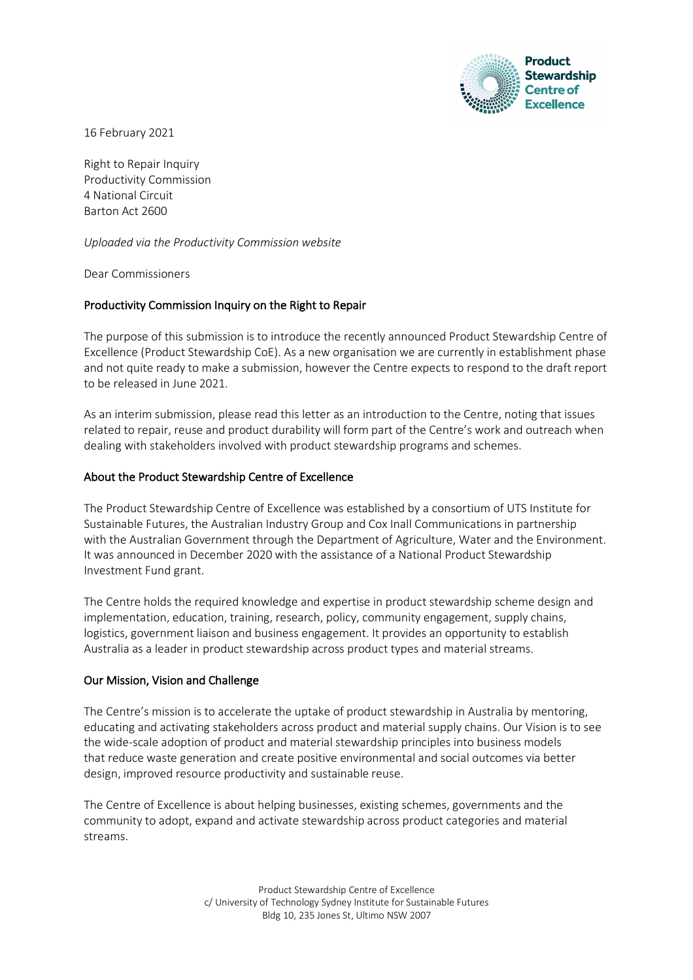

16 February 2021

Right to Repair Inquiry Productivity Commission 4 National Circuit Barton Act 2600

*Uploaded via the Productivity Commission website*

Dear Commissioners

# Productivity Commission Inquiry on the Right to Repair

The purpose of this submission is to introduce the recently announced Product Stewardship Centre of Excellence (Product Stewardship CoE). As a new organisation we are currently in establishment phase and not quite ready to make a submission, however the Centre expects to respond to the draft report to be released in June 2021.

As an interim submission, please read this letter as an introduction to the Centre, noting that issues related to repair, reuse and product durability will form part of the Centre's work and outreach when dealing with stakeholders involved with product stewardship programs and schemes.

#### About the Product Stewardship Centre of Excellence

The Product Stewardship Centre of Excellence was established by a consortium of UTS Institute for Sustainable Futures, the Australian Industry Group and Cox Inall Communications in partnership with the Australian Government through the Department of Agriculture, Water and the Environment. It was announced in December 2020 with the assistance of a National Product Stewardship Investment Fund grant.

The Centre holds the required knowledge and expertise in product stewardship scheme design and implementation, education, training, research, policy, community engagement, supply chains, logistics, government liaison and business engagement. It provides an opportunity to establish Australia as a leader in product stewardship across product types and material streams.

#### Our Mission, Vision and Challenge

The Centre's mission is to accelerate the uptake of product stewardship in Australia by mentoring, educating and activating stakeholders across product and material supply chains. Our Vision is to see the wide-scale adoption of product and material stewardship principles into business models that reduce waste generation and create positive environmental and social outcomes via better design, improved resource productivity and sustainable reuse.

The Centre of Excellence is about helping businesses, existing schemes, governments and the community to adopt, expand and activate stewardship across product categories and material streams.

> Product Stewardship Centre of Excellence c/ University of Technology Sydney Institute for Sustainable Futures Bldg 10, 235 Jones St, Ultimo NSW 2007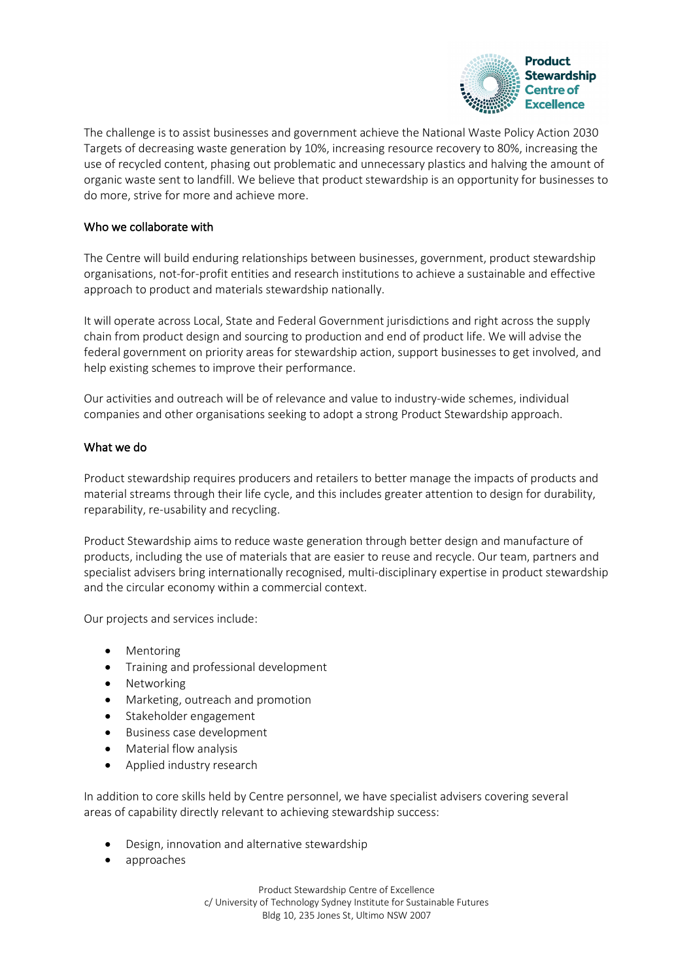

The challenge is to assist businesses and government achieve the National Waste Policy Action 2030 Targets of decreasing waste generation by 10%, increasing resource recovery to 80%, increasing the use of recycled content, phasing out problematic and unnecessary plastics and halving the amount of organic waste sent to landfill. We believe that product stewardship is an opportunity for businesses to do more, strive for more and achieve more.

# Who we collaborate with

The Centre will build enduring relationships between businesses, government, product stewardship organisations, not-for-profit entities and research institutions to achieve a sustainable and effective approach to product and materials stewardship nationally.

It will operate across Local, State and Federal Government jurisdictions and right across the supply chain from product design and sourcing to production and end of product life. We will advise the federal government on priority areas for stewardship action, support businesses to get involved, and help existing schemes to improve their performance.

Our activities and outreach will be of relevance and value to industry-wide schemes, individual companies and other organisations seeking to adopt a strong Product Stewardship approach.

# What we do

Product stewardship requires producers and retailers to better manage the impacts of products and material streams through their life cycle, and this includes greater attention to design for durability, reparability, re-usability and recycling.

Product Stewardship aims to reduce waste generation through better design and manufacture of products, including the use of materials that are easier to reuse and recycle. Our team, partners and specialist advisers bring internationally recognised, multi-disciplinary expertise in product stewardship and the circular economy within a commercial context.

Our projects and services include:

- Mentoring
- Training and professional development
- Networking
- Marketing, outreach and promotion
- Stakeholder engagement
- Business case development
- Material flow analysis
- Applied industry research

In addition to core skills held by Centre personnel, we have specialist advisers covering several areas of capability directly relevant to achieving stewardship success:

- Design, innovation and alternative stewardship
- approaches

Product Stewardship Centre of Excellence c/ University of Technology Sydney Institute for Sustainable Futures Bldg 10, 235 Jones St, Ultimo NSW 2007